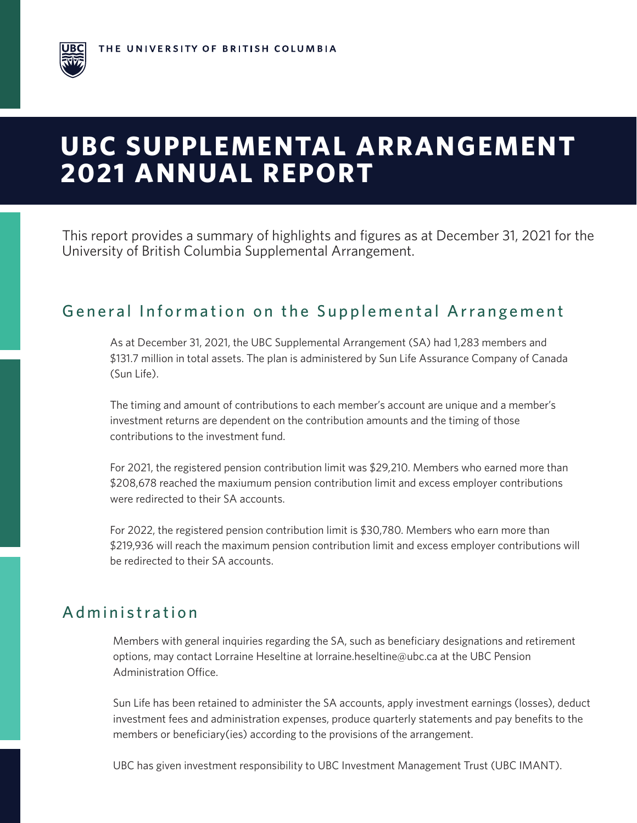# **UBC SUPPLEMENTAL ARRANGEMENT 2021 ANNUAL REPORT**

This report provides a summary of highlights and figures as at December 31, 2021 for the University of British Columbia Supplemental Arrangement.

## General Information on the Supplemental Arrangement

As at December 31, 2021, the UBC Supplemental Arrangement (SA) had 1,283 members and \$131.7 million in total assets. The plan is administered by Sun Life Assurance Company of Canada (Sun Life).

The timing and amount of contributions to each member's account are unique and a member's investment returns are dependent on the contribution amounts and the timing of those contributions to the investment fund.

For 2021, the registered pension contribution limit was \$29,210. Members who earned more than \$208,678 reached the maxiumum pension contribution limit and excess employer contributions were redirected to their SA accounts.

For 2022, the registered pension contribution limit is \$30,780. Members who earn more than \$219,936 will reach the maximum pension contribution limit and excess employer contributions will be redirected to their SA accounts.

#### Administration

Members with general inquiries regarding the SA, such as beneficiary designations and retirement options, may contact Lorraine Heseltine at lorraine.heseltine@ubc.ca at the UBC Pension Administration Office.

Sun Life has been retained to administer the SA accounts, apply investment earnings (losses), deduct investment fees and administration expenses, produce quarterly statements and pay benefits to the members or beneficiary(ies) according to the provisions of the arrangement.

UBC has given investment responsibility to UBC Investment Management Trust (UBC IMANT).